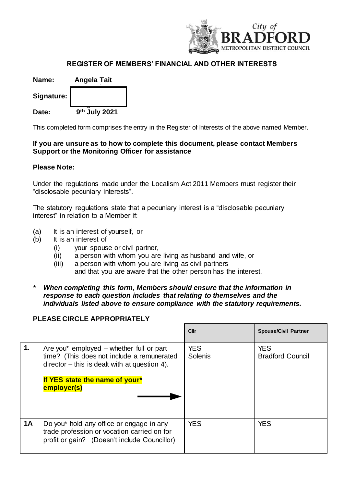

## **REGISTER OF MEMBERS' FINANCIAL AND OTHER INTERESTS**

| Name:      | <b>Angela Tait</b> |  |
|------------|--------------------|--|
| Signature: |                    |  |
| Date:      | 9th July 2021      |  |

This completed form comprises the entry in the Register of Interests of the above named Member.

## **If you are unsure as to how to complete this document, please contact Members Support or the Monitoring Officer for assistance**

## **Please Note:**

Under the regulations made under the Localism Act 2011 Members must register their "disclosable pecuniary interests".

The statutory regulations state that a pecuniary interest is a "disclosable pecuniary interest" in relation to a Member if:

- (a) It is an interest of yourself, or
- (b) It is an interest of
	- (i) your spouse or civil partner,
	- (ii) a person with whom you are living as husband and wife, or
	- (iii) a person with whom you are living as civil partners and that you are aware that the other person has the interest.
- *\* When completing this form, Members should ensure that the information in response to each question includes that relating to themselves and the individuals listed above to ensure compliance with the statutory requirements.*

## **PLEASE CIRCLE APPROPRIATELY**

|           |                                                                                                                                                                                             | Cllr                  | <b>Spouse/Civil Partner</b>           |
|-----------|---------------------------------------------------------------------------------------------------------------------------------------------------------------------------------------------|-----------------------|---------------------------------------|
| 1.        | Are you* employed $-$ whether full or part<br>time? (This does not include a remunerated<br>$director - this is dealt with at question 4.$<br>If YES state the name of your*<br>employer(s) | <b>YES</b><br>Solenis | <b>YES</b><br><b>Bradford Council</b> |
| <b>1A</b> | Do you* hold any office or engage in any<br>trade profession or vocation carried on for<br>profit or gain? (Doesn't include Councillor)                                                     | <b>YES</b>            | <b>YES</b>                            |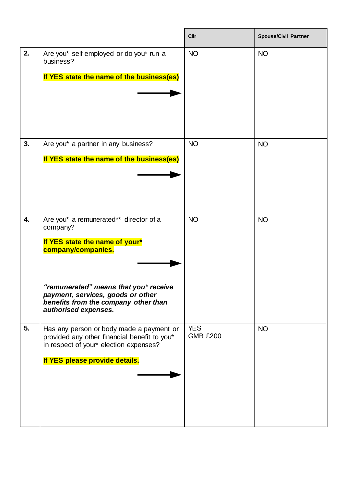|    |                                                                                                                                                                                                                                                          | <b>Cllr</b>                   | <b>Spouse/Civil Partner</b> |
|----|----------------------------------------------------------------------------------------------------------------------------------------------------------------------------------------------------------------------------------------------------------|-------------------------------|-----------------------------|
| 2. | Are you* self employed or do you* run a<br>business?<br>If YES state the name of the business(es)                                                                                                                                                        | <b>NO</b>                     | <b>NO</b>                   |
| 3. | Are you* a partner in any business?<br>If YES state the name of the business(es)                                                                                                                                                                         | <b>NO</b>                     | <b>NO</b>                   |
| 4. | Are you* a remunerated** director of a<br>company?<br>If YES state the name of your*<br>company/companies.<br>"remunerated" means that you* receive<br>payment, services, goods or other<br>benefits from the company other than<br>authorised expenses. | <b>NO</b>                     | <b>NO</b>                   |
| 5. | Has any person or body made a payment or<br>provided any other financial benefit to you*<br>in respect of your* election expenses?<br>If YES please provide details.                                                                                     | <b>YES</b><br><b>GMB £200</b> | <b>NO</b>                   |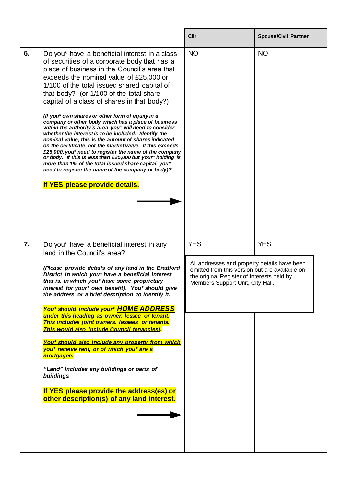|    |                                                                                                                                                                                                                                                                                                                                                                                                                                                                                                                                                                                                                                                                                                                                                                                                                                                                                                                                                               | <b>Cllr</b>                                                                                                                                                                                    | <b>Spouse/Civil Partner</b> |
|----|---------------------------------------------------------------------------------------------------------------------------------------------------------------------------------------------------------------------------------------------------------------------------------------------------------------------------------------------------------------------------------------------------------------------------------------------------------------------------------------------------------------------------------------------------------------------------------------------------------------------------------------------------------------------------------------------------------------------------------------------------------------------------------------------------------------------------------------------------------------------------------------------------------------------------------------------------------------|------------------------------------------------------------------------------------------------------------------------------------------------------------------------------------------------|-----------------------------|
| 6. | Do you* have a beneficial interest in a class<br>of securities of a corporate body that has a<br>place of business in the Council's area that<br>exceeds the nominal value of £25,000 or<br>1/100 of the total issued shared capital of<br>that body? (or 1/100 of the total share<br>capital of a class of shares in that body?)<br>(If you* own shares or other form of equity in a<br>company or other body which has a place of business<br>within the authority's area, you* will need to consider<br>whether the interest is to be included. Identify the<br>nominal value; this is the amount of shares indicated<br>on the certificate, not the market value. If this exceeds<br>£25,000, you* need to register the name of the company<br>or body. If this is less than £25,000 but your* holding is<br>more than 1% of the total issued share capital, you*<br>need to register the name of the company or body)?<br>If YES please provide details. | <b>NO</b>                                                                                                                                                                                      | <b>NO</b>                   |
| 7. | Do you* have a beneficial interest in any<br>land in the Council's area?<br>(Please provide details of any land in the Bradford<br>District in which you* have a beneficial interest<br>that is, in which you* have some proprietary<br>interest for your* own benefit). You* should give<br>the address or a brief description to identify it.<br>You* should include your* HOME ADDRESS<br>under this heading as owner, lessee or tenant.<br>This includes joint owners, lessees or tenants.<br>This would also include Council tenancies).<br>You* should also include any property from which<br>you* receive rent, or of which you* are a<br>mortgagee.<br>"Land" includes any buildings or parts of<br>buildings.<br>If YES please provide the address(es) or<br>other description(s) of any land interest.                                                                                                                                             | <b>YES</b><br>All addresses and property details have been<br>omitted from this version but are available on<br>the original Register of Interests held by<br>Members Support Unit, City Hall. | <b>YES</b>                  |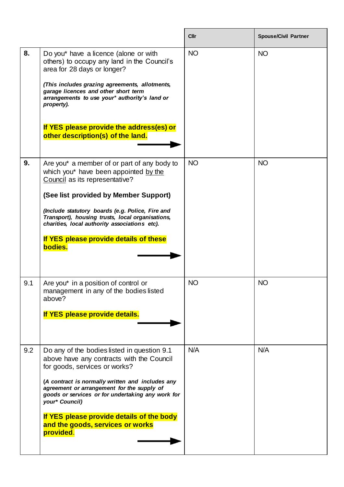|     |                                                                                                                                                                                                                                                                                                                                                                                                  | <b>Cllr</b> | <b>Spouse/Civil Partner</b> |
|-----|--------------------------------------------------------------------------------------------------------------------------------------------------------------------------------------------------------------------------------------------------------------------------------------------------------------------------------------------------------------------------------------------------|-------------|-----------------------------|
| 8.  | Do you* have a licence (alone or with<br>others) to occupy any land in the Council's<br>area for 28 days or longer?<br>(This includes grazing agreements, allotments,<br>garage licences and other short term<br>arrangements to use your* authority's land or<br>property).<br>If YES please provide the address(es) or<br>other description(s) of the land.                                    | <b>NO</b>   | <b>NO</b>                   |
| 9.  | Are you* a member of or part of any body to<br>which you* have been appointed by the<br>Council as its representative?<br>(See list provided by Member Support)<br>(Include statutory boards (e.g. Police, Fire and<br>Transport), housing trusts, local organisations,<br>charities, local authority associations etc).<br>If YES please provide details of these<br>bodies.                    | <b>NO</b>   | <b>NO</b>                   |
| 9.1 | Are you* in a position of control or<br>management in any of the bodies listed<br>above?<br>If YES please provide details.                                                                                                                                                                                                                                                                       | <b>NO</b>   | <b>NO</b>                   |
| 9.2 | Do any of the bodies listed in question 9.1<br>above have any contracts with the Council<br>for goods, services or works?<br>(A contract is normally written and includes any<br>agreement or arrangement for the supply of<br>goods or services or for undertaking any work for<br>your* Council)<br>If YES please provide details of the body<br>and the goods, services or works<br>provided. | N/A         | N/A                         |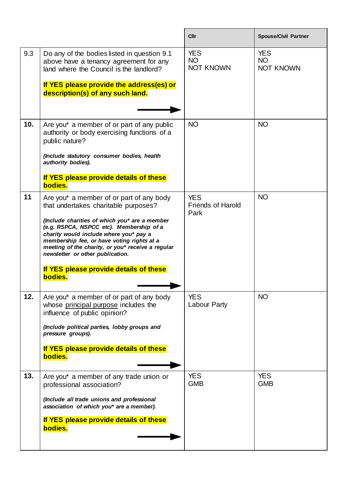|     |                                                                                                                                                                                                                                                                                                                                                                                                                     | Cllr                                           | <b>Spouse/Civil Partner</b>                 |
|-----|---------------------------------------------------------------------------------------------------------------------------------------------------------------------------------------------------------------------------------------------------------------------------------------------------------------------------------------------------------------------------------------------------------------------|------------------------------------------------|---------------------------------------------|
| 9.3 | Do any of the bodies listed in question 9.1<br>above have a tenancy agreement for any<br>land where the Council is the landlord?<br>If YES please provide the address(es) or<br>description(s) of any such land.                                                                                                                                                                                                    | <b>YES</b><br><b>NO</b><br><b>NOT KNOWN</b>    | <b>YES</b><br><b>NO</b><br><b>NOT KNOWN</b> |
| 10. | Are you* a member of or part of any public<br>authority or body exercising functions of a<br>public nature?<br>(Include statutory consumer bodies, health<br>authority bodies).<br>If YES please provide details of these<br>bodies.                                                                                                                                                                                | <b>NO</b>                                      | <b>NO</b>                                   |
| 11  | Are you* a member of or part of any body<br>that undertakes charitable purposes?<br>(Include charities of which you* are a member<br>(e.g. RSPCA, NSPCC etc). Membership of a<br>charity would include where you* pay a<br>membership fee, or have voting rights at a<br>meeting of the charity, or you* receive a regular<br>newsletter or other publication.<br>If YES please provide details of these<br>bodies. | <b>YES</b><br><b>Friends of Harold</b><br>Park | <b>NO</b>                                   |
| 12. | Are you* a member of or part of any body<br>whose principal purpose includes the<br>influence of public opinion?<br>(Include political parties, lobby groups and<br>pressure groups).<br>If YES please provide details of these<br>bodies.                                                                                                                                                                          | <b>YES</b><br><b>Labour Party</b>              | <b>NO</b>                                   |
| 13. | Are you* a member of any trade union or<br>professional association?<br>(Include all trade unions and professional<br>association of which you* are a member).<br>If YES please provide details of these<br>bodies.                                                                                                                                                                                                 | <b>YES</b><br><b>GMB</b>                       | <b>YES</b><br><b>GMB</b>                    |